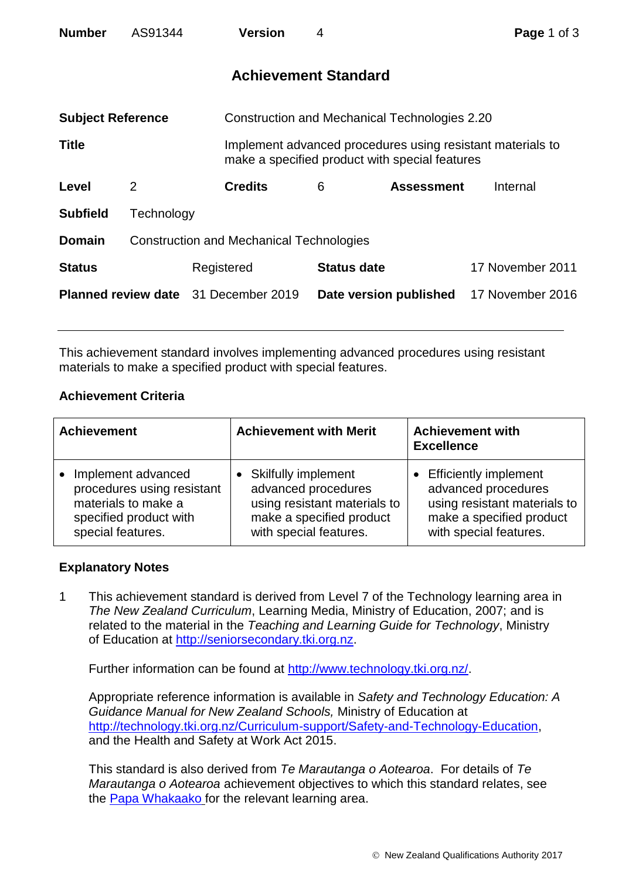| <b>Number</b>                               | AS91344                                         |            | <b>Version</b>                                       |                        |                                                                                                              | Page 1 of 3      |  |
|---------------------------------------------|-------------------------------------------------|------------|------------------------------------------------------|------------------------|--------------------------------------------------------------------------------------------------------------|------------------|--|
|                                             |                                                 |            | <b>Achievement Standard</b>                          |                        |                                                                                                              |                  |  |
| <b>Subject Reference</b>                    |                                                 |            | <b>Construction and Mechanical Technologies 2.20</b> |                        |                                                                                                              |                  |  |
| <b>Title</b>                                |                                                 |            |                                                      |                        | Implement advanced procedures using resistant materials to<br>make a specified product with special features |                  |  |
| Level                                       | 2                                               |            | <b>Credits</b>                                       | 6                      | <b>Assessment</b>                                                                                            | Internal         |  |
| <b>Subfield</b>                             | Technology                                      |            |                                                      |                        |                                                                                                              |                  |  |
| <b>Domain</b>                               | <b>Construction and Mechanical Technologies</b> |            |                                                      |                        |                                                                                                              |                  |  |
| <b>Status</b>                               |                                                 | Registered |                                                      |                        | <b>Status date</b>                                                                                           | 17 November 2011 |  |
| <b>Planned review date</b> 31 December 2019 |                                                 |            |                                                      | Date version published | 17 November 2016                                                                                             |                  |  |

This achievement standard involves implementing advanced procedures using resistant materials to make a specified product with special features.

## **Achievement Criteria**

| <b>Achievement</b>         | <b>Achievement with Merit</b> | <b>Achievement with</b><br><b>Excellence</b> |  |
|----------------------------|-------------------------------|----------------------------------------------|--|
| Implement advanced         | • Skilfully implement         | <b>Efficiently implement</b>                 |  |
| procedures using resistant | advanced procedures           | advanced procedures                          |  |
| materials to make a        | using resistant materials to  | using resistant materials to                 |  |
| specified product with     | make a specified product      | make a specified product                     |  |
| special features.          | with special features.        | with special features.                       |  |

## **Explanatory Notes**

1 This achievement standard is derived from Level 7 of the Technology learning area in *The New Zealand Curriculum*, Learning Media, Ministry of Education, 2007; and is related to the material in the *Teaching and Learning Guide for Technology*, Ministry of Education at [http://seniorsecondary.tki.org.nz.](http://seniorsecondary.tki.org.nz/)

Further information can be found at [http://www.technology.tki.org.nz/.](http://www.technology.tki.org.nz/)

Appropriate reference information is available in *Safety and Technology Education: A Guidance Manual for New Zealand Schools,* Ministry of Education at [http://technology.tki.org.nz/Curriculum-support/Safety-and-Technology-Education,](http://technology.tki.org.nz/Curriculum-support/Safety-and-Technology-Education) and the Health and Safety at Work Act 2015.

This standard is also derived from *Te Marautanga o Aotearoa*. For details of *Te Marautanga o Aotearoa* achievement objectives to which this standard relates, see the [Papa Whakaako](http://tmoa.tki.org.nz/Te-Marautanga-o-Aotearoa/Taumata-Matauranga-a-Motu-Ka-Taea) for the relevant learning area.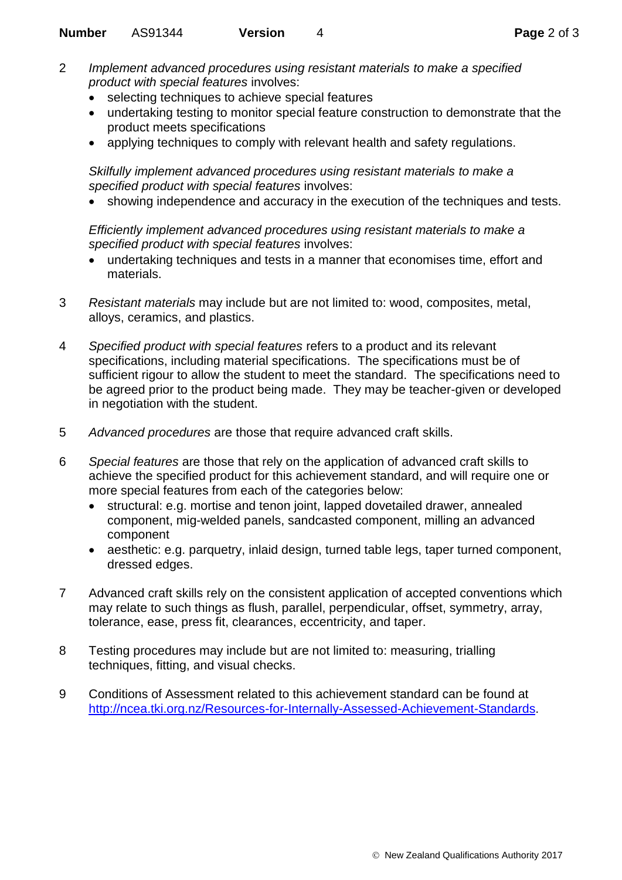- 2 *Implement advanced procedures using resistant materials to make a specified product with special features* involves:
	- selecting techniques to achieve special features
	- undertaking testing to monitor special feature construction to demonstrate that the product meets specifications
	- applying techniques to comply with relevant health and safety regulations.

*Skilfully implement advanced procedures using resistant materials to make a specified product with special features* involves:

• showing independence and accuracy in the execution of the techniques and tests.

*Efficiently implement advanced procedures using resistant materials to make a specified product with special features* involves:

- undertaking techniques and tests in a manner that economises time, effort and materials.
- 3 *Resistant materials* may include but are not limited to: wood, composites, metal, alloys, ceramics, and plastics.
- 4 *Specified product with special features* refers to a product and its relevant specifications, including material specifications. The specifications must be of sufficient rigour to allow the student to meet the standard. The specifications need to be agreed prior to the product being made. They may be teacher-given or developed in negotiation with the student.
- 5 *Advanced procedures* are those that require advanced craft skills.
- 6 *Special features* are those that rely on the application of advanced craft skills to achieve the specified product for this achievement standard, and will require one or more special features from each of the categories below:
	- structural: e.g. mortise and tenon joint, lapped dovetailed drawer, annealed component, mig-welded panels, sandcasted component, milling an advanced component
	- aesthetic: e.g. parquetry, inlaid design, turned table legs, taper turned component, dressed edges.
- 7 Advanced craft skills rely on the consistent application of accepted conventions which may relate to such things as flush, parallel, perpendicular, offset, symmetry, array, tolerance, ease, press fit, clearances, eccentricity, and taper.
- 8 Testing procedures may include but are not limited to: measuring, trialling techniques, fitting, and visual checks.
- 9 Conditions of Assessment related to this achievement standard can be found at [http://ncea.tki.org.nz/Resources-for-Internally-Assessed-Achievement-Standards.](http://ncea.tki.org.nz/Resources-for-Internally-Assessed-Achievement-Standards)